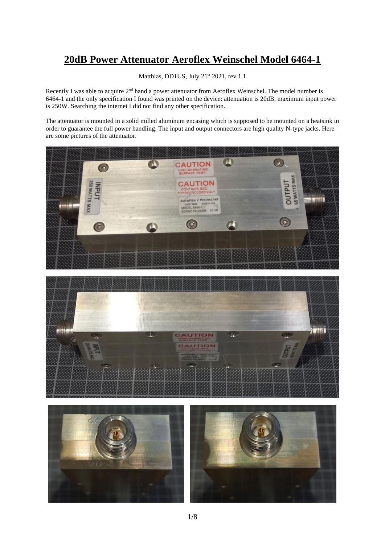## **20dB Power Attenuator Aeroflex Weinschel Model 6464-1**

Matthias, DD1US, July 21<sup>st</sup> 2021, rev 1.1

Recently I was able to acquire 2<sup>nd</sup> hand a power attenuator from Aeroflex Weinschel. The model number is 6464-1 and the only specification I found was printed on the device: attenuation is 20dB, maximum input power is 250W. Searching the internet I did not find any other specification.

The attenuator is mounted in a solid milled aluminum encasing which is supposed to be mounted on a heatsink in order to guarantee the full power handling. The input and output connectors are high quality N-type jacks. Here are some pictures of the attenuator.







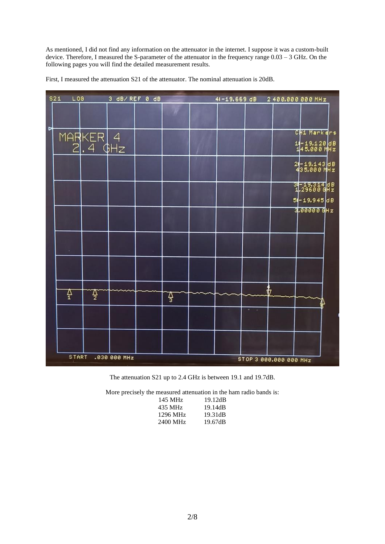As mentioned, I did not find any information on the attenuator in the internet. I suppose it was a custom-built device. Therefore, I measured the S-parameter of the attenuator in the frequency range 0.03 – 3 GHz. On the following pages you will find the detailed measurement results.

|   | S21<br>L06   |                     | 3 dB/REF 0 dB |   |  |                        | 41-19.669 dB 2 400.000 000 MHz  |  |
|---|--------------|---------------------|---------------|---|--|------------------------|---------------------------------|--|
|   |              |                     |               |   |  |                        |                                 |  |
| ₽ |              |                     |               |   |  |                        | CH1 Markers                     |  |
|   |              | MARKER 4<br>2.4 GHz |               |   |  |                        | 14-19.120 dB<br>145.000 MHz     |  |
|   |              |                     |               |   |  |                        | 2-19.143 dB<br>435.000 MHz      |  |
|   |              |                     |               |   |  |                        | $31 - 19.314$ dB<br>1.29600 GHz |  |
|   |              |                     |               |   |  |                        | $5 - 19.945 dB$                 |  |
|   |              |                     |               |   |  |                        | $3.00000$ GHz                   |  |
|   |              |                     |               |   |  |                        |                                 |  |
|   |              |                     |               |   |  |                        |                                 |  |
|   | ₽            | ₽                   |               | ₽ |  |                        |                                 |  |
|   |              |                     |               |   |  |                        |                                 |  |
|   |              |                     |               |   |  |                        |                                 |  |
|   | <b>START</b> |                     | .030 000 MHz  |   |  | STOP 3 888.888 888 MHz |                                 |  |

First, I measured the attenuation S21 of the attenuator. The nominal attenuation is 20dB.

The attenuation S21 up to 2.4 GHz is between 19.1 and 19.7dB.

More precisely the measured attenuation in the ham radio bands is:

| 19.12dB |
|---------|
| 19.14dB |
| 19.31dB |
| 19.67dB |
|         |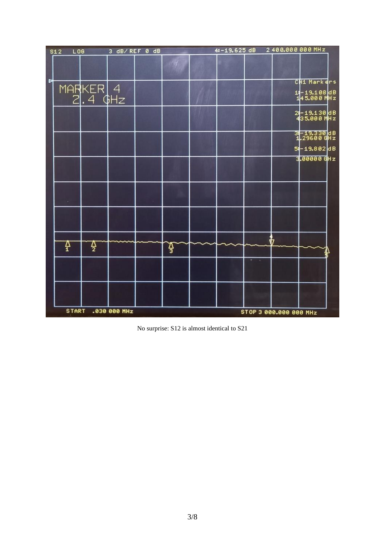| S12          | L06                 | 3 dB/REF 0 dB |   | 4:-19.625 dB |                        | 2400.000000MHz              |
|--------------|---------------------|---------------|---|--------------|------------------------|-----------------------------|
|              |                     |               |   |              |                        |                             |
| Þ            |                     |               |   |              |                        | CH1 Markers                 |
|              | MARKER 4<br>2.4 GHz |               |   |              |                        | 14-19.108dB<br>145.000 MHz  |
|              |                     |               |   |              |                        | 2-19.130 dB<br>435.000 MHz  |
|              |                     |               |   |              |                        | 34-19.330 dB<br>1.29600 GHz |
|              |                     |               |   |              |                        | 54-19.802 dB                |
|              |                     |               |   |              |                        | $3.000000$ GHz              |
|              |                     |               |   |              |                        |                             |
| 4            | Ą.                  |               | 4 |              |                        |                             |
|              |                     |               |   |              |                        |                             |
| <b>START</b> |                     | .030 000 MHz  |   |              | STOP 3 000.000 000 MHz |                             |

No surprise: S12 is almost identical to S21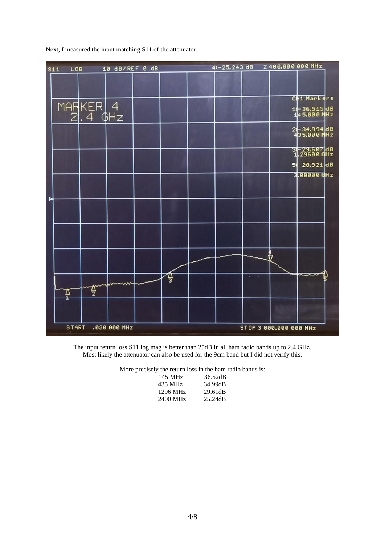|   | $L$ 06<br>S11 |                     | 10 dB/REF 0 dB |   | 4:-25.243 dB | 2400.000000MHz         |                             |  |
|---|---------------|---------------------|----------------|---|--------------|------------------------|-----------------------------|--|
|   |               |                     |                |   |              |                        |                             |  |
|   |               |                     |                |   |              |                        | CH1 Markers                 |  |
|   |               | MARKER 4<br>2.4 GHz |                |   |              |                        | 14-36.515dB<br>145.000 MHz  |  |
|   |               |                     |                |   |              |                        | 24-34.994 dB<br>435.000 MHz |  |
|   |               |                     |                |   |              |                        | 34-29.607dB<br>1.29600 GHz  |  |
|   |               |                     |                |   |              |                        | 54-28.921 dB                |  |
|   |               |                     |                |   |              |                        | $3.000000$ Hz               |  |
|   |               |                     |                |   |              |                        |                             |  |
| Þ |               |                     |                |   |              |                        |                             |  |
|   |               |                     |                |   |              |                        |                             |  |
|   |               |                     |                |   |              |                        |                             |  |
|   | Ą             | 쟐                   | mmm            | 잫 |              |                        |                             |  |
|   |               |                     |                |   |              |                        |                             |  |
|   | <b>START</b>  |                     | .030 000 MHz   |   |              | STOP 3 888.888 888 MHz |                             |  |

Next, I measured the input matching S11 of the attenuator.

The input return loss S11 log mag is better than 25dB in all ham radio bands up to 2.4 GHz. Most likely the attenuator can also be used for the 9cm band but I did not verify this.

More precisely the return loss in the ham radio bands is:

| 36.52dB |
|---------|
| 34.99dB |
| 29.61dB |
| 25.24dB |
|         |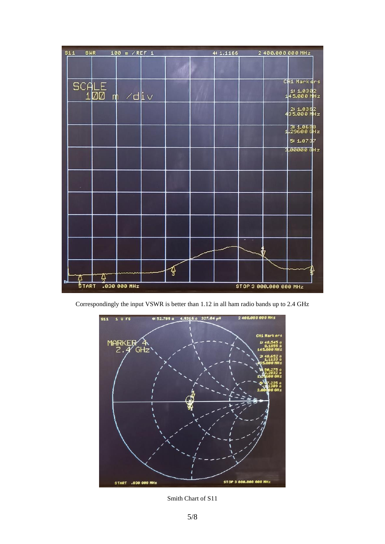

Correspondingly the input VSWR is better than 1.12 in all ham radio bands up to 2.4 GHz



Smith Chart of S11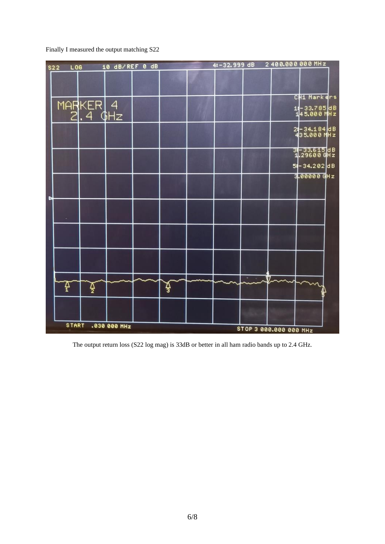Finally I measured the output matching S22



The output return loss (S22 log mag) is 33dB or better in all ham radio bands up to 2.4 GHz.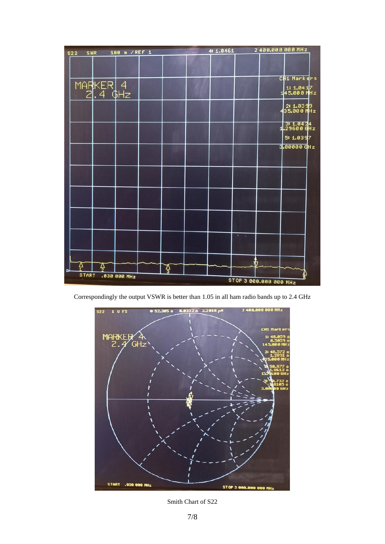| \$22         | SWR                 | 100 m / REF 1       |  | 4: 1.0461 |                        | 2400.000 000 MHz            |
|--------------|---------------------|---------------------|--|-----------|------------------------|-----------------------------|
|              |                     |                     |  |           |                        |                             |
|              |                     |                     |  |           |                        | CH1 Markers                 |
|              | MARKER 4<br>2.4 GHz |                     |  |           |                        | $1:1.0417$<br>145.000 MHz   |
|              |                     |                     |  |           |                        | $2:1.0399$<br>435.000 MHz   |
|              |                     |                     |  |           |                        | $1.3:1.0424$<br>1.29600 GHz |
|              |                     |                     |  |           |                        | 5: 1.0397                   |
|              |                     |                     |  |           |                        | $3.000000$ GHz              |
|              |                     |                     |  |           |                        |                             |
|              |                     |                     |  |           |                        |                             |
|              |                     |                     |  |           |                        |                             |
|              |                     |                     |  |           |                        |                             |
|              |                     |                     |  |           |                        |                             |
| <b>START</b> |                     | <b>.030 000 MHz</b> |  |           |                        |                             |
|              |                     |                     |  |           | STOP 3 000.000 000 MHz |                             |

Correspondingly the output VSWR is better than 1.05 in all ham radio bands up to 2.4 GHz



Smith Chart of S22